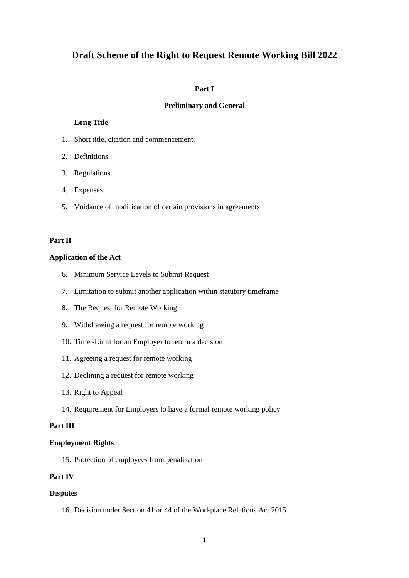# **Draft Scheme of the Right to Request Remote Working Bill 2022**

#### **Part I**

#### **Preliminary and General**

### **Long Title**

- 1. Short title, citation and commencement.
- 2. Definitions
- 3. Regulations
- 4. Expenses
- 5. Voidance of modification of certain provisions in agreements

### **Part II**

#### **Application of the Act**

- 6. Minimum Service Levels to Submit Request
- 7. Limitation to submit another application within statutory timeframe
- 8. The Request for Remote Working
- 9. Withdrawing a request for remote working
- 10. Time -Limit for an Employer to return a decision
- 11. Agreeing a request for remote working
- 12. Declining a request for remote working
- 13. Right to Appeal
- 14. Requirement for Employers to have a formal remote working policy

### **Part III**

#### **Employment Rights**

15. Protection of employees from penalisation

# **Part IV**

### **Disputes**

16. Decision under Section 41 or 44 of the Workplace Relations Act 2015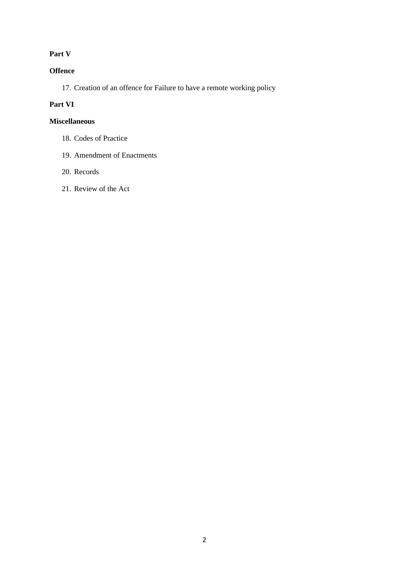# **Part V**

# **Offence**

17. Creation of an offence for Failure to have a remote working policy

# **Part VI**

# **Miscellaneous**

- 18. Codes of Practice
- 19. Amendment of Enactments
- 20. Records
- 21. Review of the Act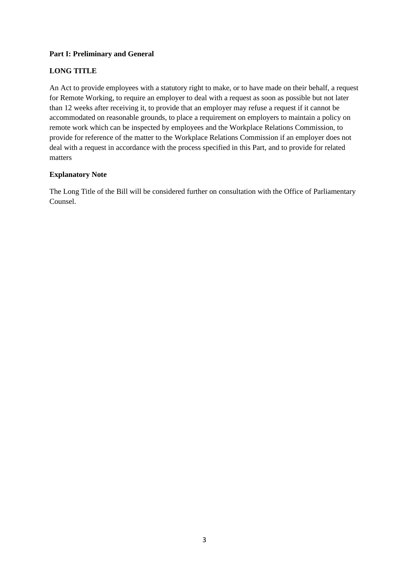# **Part I: Preliminary and General**

# **LONG TITLE**

An Act to provide employees with a statutory right to make, or to have made on their behalf, a request for Remote Working, to require an employer to deal with a request as soon as possible but not later than 12 weeks after receiving it, to provide that an employer may refuse a request if it cannot be accommodated on reasonable grounds, to place a requirement on employers to maintain a policy on remote work which can be inspected by employees and the Workplace Relations Commission, to provide for reference of the matter to the Workplace Relations Commission if an employer does not deal with a request in accordance with the process specified in this Part, and to provide for related matters

# **Explanatory Note**

The Long Title of the Bill will be considered further on consultation with the Office of Parliamentary Counsel.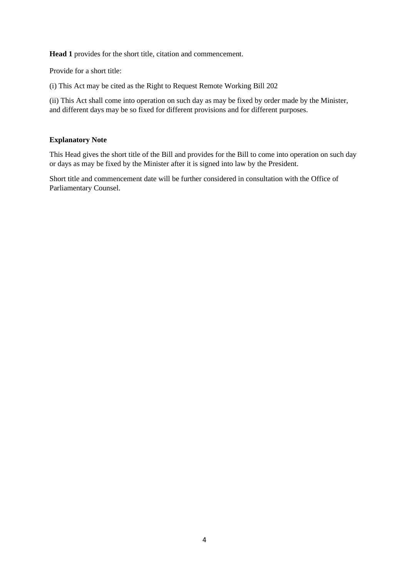**Head 1** provides for the short title, citation and commencement.

Provide for a short title:

(i) This Act may be cited as the Right to Request Remote Working Bill 202

(ii) This Act shall come into operation on such day as may be fixed by order made by the Minister, and different days may be so fixed for different provisions and for different purposes.

# **Explanatory Note**

This Head gives the short title of the Bill and provides for the Bill to come into operation on such day or days as may be fixed by the Minister after it is signed into law by the President.

Short title and commencement date will be further considered in consultation with the Office of Parliamentary Counsel.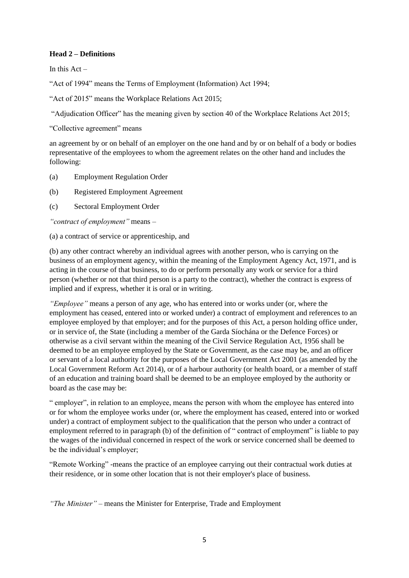### **Head 2 – Definitions**

In this  $Act -$ 

"Act of 1994" means the Terms of Employment (Information) Act 1994;

"Act of 2015" means the Workplace Relations Act 2015;

"Adjudication Officer" has the meaning given by section 40 of the Workplace Relations Act 2015;

"Collective agreement" means

an agreement by or on behalf of an employer on the one hand and by or on behalf of a body or bodies representative of the employees to whom the agreement relates on the other hand and includes the following:

- (a) Employment Regulation Order
- (b) Registered Employment Agreement
- (c) Sectoral Employment Order

*"contract of employment"* means –

(a) a contract of service or apprenticeship, and

(b) any other contract whereby an individual agrees with another person, who is carrying on the business of an employment agency, within the meaning of the Employment Agency Act, 1971, and is acting in the course of that business, to do or perform personally any work or service for a third person (whether or not that third person is a party to the contract), whether the contract is express of implied and if express, whether it is oral or in writing.

*"Employee"* means a person of any age, who has entered into or works under (or, where the employment has ceased, entered into or worked under) a contract of employment and references to an employee employed by that employer; and for the purposes of this Act, a person holding office under, or in service of, the State (including a member of the Garda Síochána or the Defence Forces) or otherwise as a civil servant within the meaning of the Civil Service Regulation Act, 1956 shall be deemed to be an employee employed by the State or Government, as the case may be, and an officer or servant of a local authority for the purposes of the Local Government Act 2001 (as amended by the Local Government Reform Act 2014), or of a harbour authority (or health board, or a member of staff of an education and training board shall be deemed to be an employee employed by the authority or board as the case may be:

" employer", in relation to an employee, means the person with whom the employee has entered into or for whom the employee works under (or, where the employment has ceased, entered into or worked under) a contract of employment subject to the qualification that the person who under a contract of employment referred to in paragraph (b) of the definition of " contract of employment" is liable to pay the wages of the individual concerned in respect of the work or service concerned shall be deemed to be the individual's employer;

"Remote Working" -means the practice of an employee carrying out their contractual work duties at their residence, or in some other location that is not their employer's place of business.

*"The Minister" –* means the Minister for Enterprise, Trade and Employment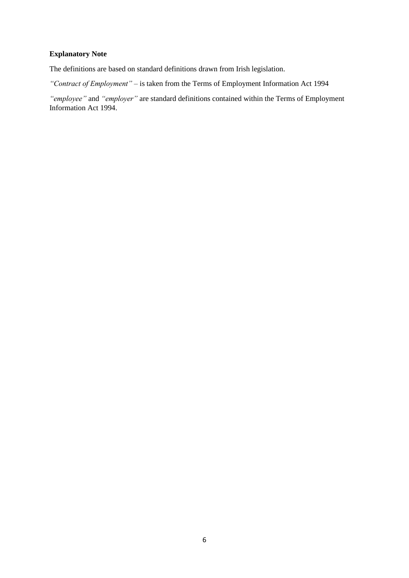# **Explanatory Note**

The definitions are based on standard definitions drawn from Irish legislation.

*"Contract of Employment" –* is taken from the Terms of Employment Information Act 1994

*"employee"* and *"employer"* are standard definitions contained within the Terms of Employment Information Act 1994.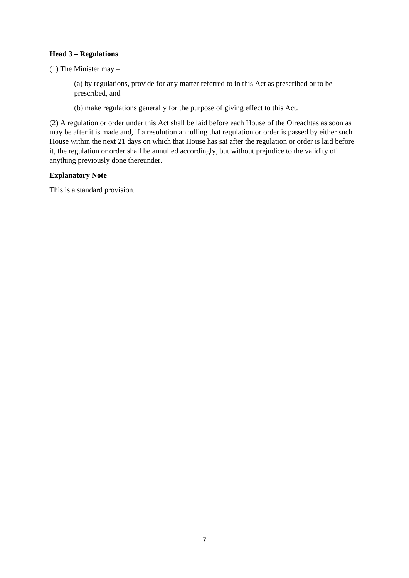# **Head 3 – Regulations**

(1) The Minister may –

(a) by regulations, provide for any matter referred to in this Act as prescribed or to be prescribed, and

(b) make regulations generally for the purpose of giving effect to this Act.

(2) A regulation or order under this Act shall be laid before each House of the Oireachtas as soon as may be after it is made and, if a resolution annulling that regulation or order is passed by either such House within the next 21 days on which that House has sat after the regulation or order is laid before it, the regulation or order shall be annulled accordingly, but without prejudice to the validity of anything previously done thereunder.

### **Explanatory Note**

This is a standard provision.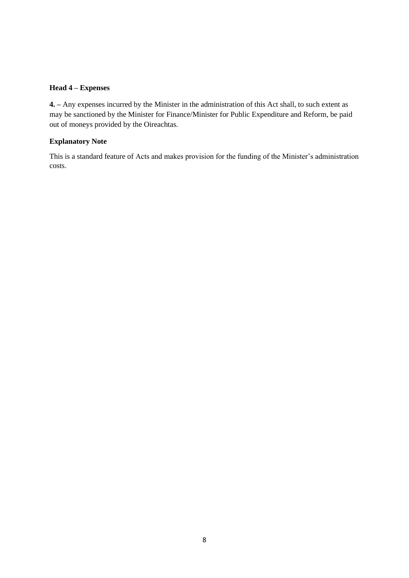### **Head 4 – Expenses**

**4. –** Any expenses incurred by the Minister in the administration of this Act shall, to such extent as may be sanctioned by the Minister for Finance/Minister for Public Expenditure and Reform, be paid out of moneys provided by the Oireachtas.

# **Explanatory Note**

This is a standard feature of Acts and makes provision for the funding of the Minister's administration costs.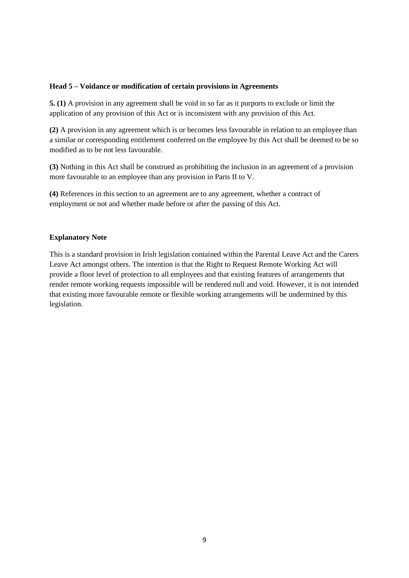#### **Head 5 – Voidance or modification of certain provisions in Agreements**

**5. (1)** A provision in any agreement shall be void in so far as it purports to exclude or limit the application of any provision of this Act or is inconsistent with any provision of this Act.

**(2)** A provision in any agreement which is or becomes less favourable in relation to an employee than a similar or corresponding entitlement conferred on the employee by this Act shall be deemed to be so modified as to be not less favourable.

**(3)** Nothing in this Act shall be construed as prohibiting the inclusion in an agreement of a provision more favourable to an employee than any provision in Parts II to V.

**(4)** References in this section to an agreement are to any agreement, whether a contract of employment or not and whether made before or after the passing of this Act.

### **Explanatory Note**

This is a standard provision in Irish legislation contained within the Parental Leave Act and the Carers Leave Act amongst others. The intention is that the Right to Request Remote Working Act will provide a floor level of protection to all employees and that existing features of arrangements that render remote working requests impossible will be rendered null and void. However, it is not intended that existing more favourable remote or flexible working arrangements will be undermined by this legislation.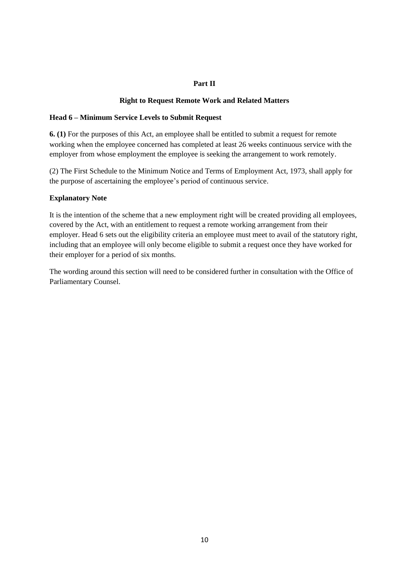# **Part II**

### **Right to Request Remote Work and Related Matters**

### **Head 6 – Minimum Service Levels to Submit Request**

**6. (1)** For the purposes of this Act, an employee shall be entitled to submit a request for remote working when the employee concerned has completed at least 26 weeks continuous service with the employer from whose employment the employee is seeking the arrangement to work remotely.

(2) The First Schedule to the Minimum Notice and Terms of Employment Act, 1973, shall apply for the purpose of ascertaining the employee's period of continuous service.

### **Explanatory Note**

It is the intention of the scheme that a new employment right will be created providing all employees, covered by the Act, with an entitlement to request a remote working arrangement from their employer. Head 6 sets out the eligibility criteria an employee must meet to avail of the statutory right, including that an employee will only become eligible to submit a request once they have worked for their employer for a period of six months.

The wording around this section will need to be considered further in consultation with the Office of Parliamentary Counsel.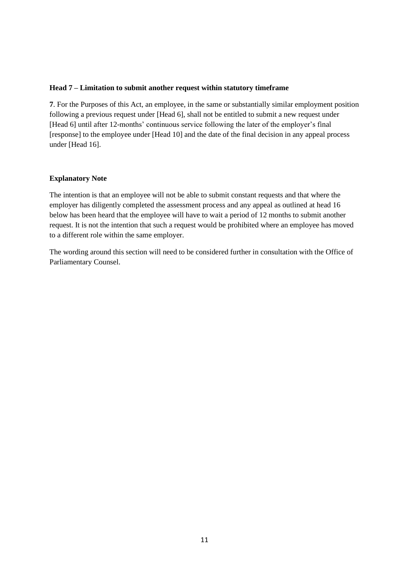#### **Head 7 – Limitation to submit another request within statutory timeframe**

**7**. For the Purposes of this Act, an employee, in the same or substantially similar employment position following a previous request under [Head 6], shall not be entitled to submit a new request under [Head 6] until after 12-months' continuous service following the later of the employer's final [response] to the employee under [Head 10] and the date of the final decision in any appeal process under [Head 16].

#### **Explanatory Note**

The intention is that an employee will not be able to submit constant requests and that where the employer has diligently completed the assessment process and any appeal as outlined at head 16 below has been heard that the employee will have to wait a period of 12 months to submit another request. It is not the intention that such a request would be prohibited where an employee has moved to a different role within the same employer.

The wording around this section will need to be considered further in consultation with the Office of Parliamentary Counsel.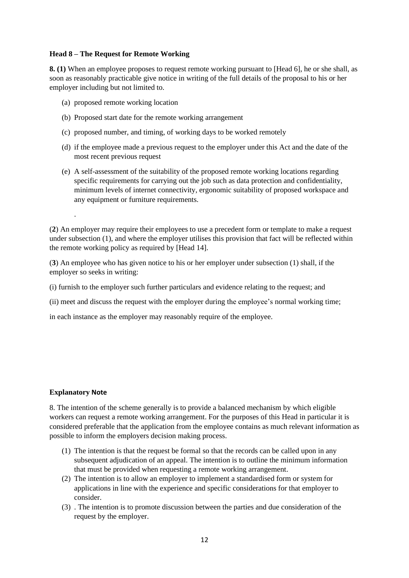### **Head 8 – The Request for Remote Working**

**8. (1)** When an employee proposes to request remote working pursuant to [Head 6], he or she shall, as soon as reasonably practicable give notice in writing of the full details of the proposal to his or her employer including but not limited to.

- (a) proposed remote working location
- (b) Proposed start date for the remote working arrangement
- (c) proposed number, and timing, of working days to be worked remotely
- (d) if the employee made a previous request to the employer under this Act and the date of the most recent previous request
- (e) A self-assessment of the suitability of the proposed remote working locations regarding specific requirements for carrying out the job such as data protection and confidentiality, minimum levels of internet connectivity, ergonomic suitability of proposed workspace and any equipment or furniture requirements.

(**2**) An employer may require their employees to use a precedent form or template to make a request under subsection (1), and where the employer utilises this provision that fact will be reflected within the remote working policy as required by [Head 14].

(**3**) An employee who has given notice to his or her employer under subsection (1) shall, if the employer so seeks in writing:

(i) furnish to the employer such further particulars and evidence relating to the request; and

(ii) meet and discuss the request with the employer during the employee's normal working time;

in each instance as the employer may reasonably require of the employee.

# **Explanatory Note**

.

8. The intention of the scheme generally is to provide a balanced mechanism by which eligible workers can request a remote working arrangement. For the purposes of this Head in particular it is considered preferable that the application from the employee contains as much relevant information as possible to inform the employers decision making process.

- (1) The intention is that the request be formal so that the records can be called upon in any subsequent adjudication of an appeal. The intention is to outline the minimum information that must be provided when requesting a remote working arrangement.
- (2) The intention is to allow an employer to implement a standardised form or system for applications in line with the experience and specific considerations for that employer to consider.
- (3) . The intention is to promote discussion between the parties and due consideration of the request by the employer.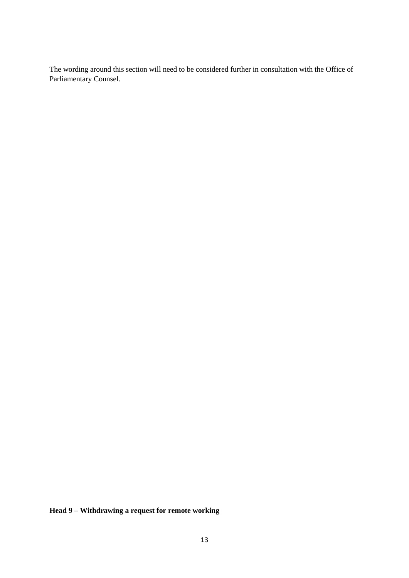The wording around this section will need to be considered further in consultation with the Office of Parliamentary Counsel.

**Head 9 – Withdrawing a request for remote working**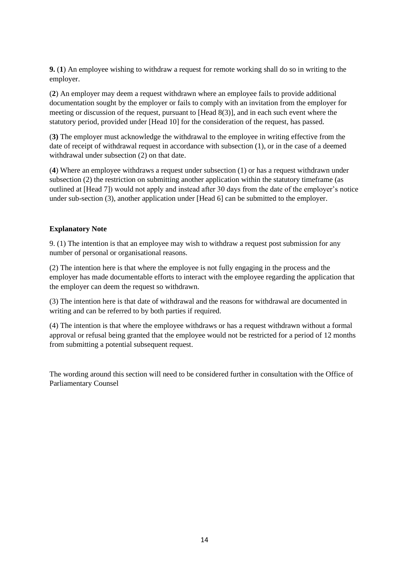**9.** (**1**) An employee wishing to withdraw a request for remote working shall do so in writing to the employer.

(**2**) An employer may deem a request withdrawn where an employee fails to provide additional documentation sought by the employer or fails to comply with an invitation from the employer for meeting or discussion of the request, pursuant to [Head 8(3)], and in each such event where the statutory period, provided under [Head 10] for the consideration of the request, has passed.

(**3)** The employer must acknowledge the withdrawal to the employee in writing effective from the date of receipt of withdrawal request in accordance with subsection (1), or in the case of a deemed withdrawal under subsection (2) on that date.

(**4**) Where an employee withdraws a request under subsection (1) or has a request withdrawn under subsection (2) the restriction on submitting another application within the statutory timeframe (as outlined at [Head 7]) would not apply and instead after 30 days from the date of the employer's notice under sub-section (3), another application under [Head 6] can be submitted to the employer.

#### **Explanatory Note**

9. (1) The intention is that an employee may wish to withdraw a request post submission for any number of personal or organisational reasons.

(2) The intention here is that where the employee is not fully engaging in the process and the employer has made documentable efforts to interact with the employee regarding the application that the employer can deem the request so withdrawn.

(3) The intention here is that date of withdrawal and the reasons for withdrawal are documented in writing and can be referred to by both parties if required.

(4) The intention is that where the employee withdraws or has a request withdrawn without a formal approval or refusal being granted that the employee would not be restricted for a period of 12 months from submitting a potential subsequent request.

The wording around this section will need to be considered further in consultation with the Office of Parliamentary Counsel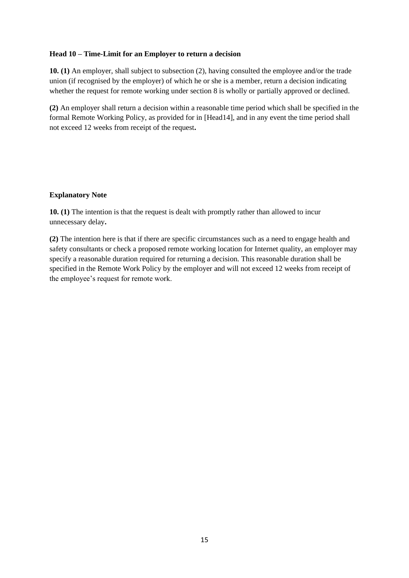### **Head 10 – Time-Limit for an Employer to return a decision**

**10. (1)** An employer, shall subject to subsection (2), having consulted the employee and/or the trade union (if recognised by the employer) of which he or she is a member, return a decision indicating whether the request for remote working under section 8 is wholly or partially approved or declined.

**(2)** An employer shall return a decision within a reasonable time period which shall be specified in the formal Remote Working Policy, as provided for in [Head14], and in any event the time period shall not exceed 12 weeks from receipt of the request**.**

### **Explanatory Note**

**10. (1)** The intention is that the request is dealt with promptly rather than allowed to incur unnecessary delay**.** 

**(2)** The intention here is that if there are specific circumstances such as a need to engage health and safety consultants or check a proposed remote working location for Internet quality, an employer may specify a reasonable duration required for returning a decision. This reasonable duration shall be specified in the Remote Work Policy by the employer and will not exceed 12 weeks from receipt of the employee's request for remote work.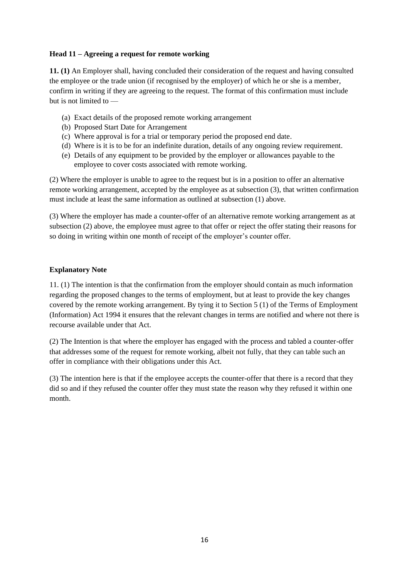### **Head 11 – Agreeing a request for remote working**

**11. (1)** An Employer shall, having concluded their consideration of the request and having consulted the employee or the trade union (if recognised by the employer) of which he or she is a member, confirm in writing if they are agreeing to the request. The format of this confirmation must include but is not limited to —

- (a) Exact details of the proposed remote working arrangement
- (b) Proposed Start Date for Arrangement
- (c) Where approval is for a trial or temporary period the proposed end date.
- (d) Where is it is to be for an indefinite duration, details of any ongoing review requirement.
- (e) Details of any equipment to be provided by the employer or allowances payable to the employee to cover costs associated with remote working.

(2) Where the employer is unable to agree to the request but is in a position to offer an alternative remote working arrangement, accepted by the employee as at subsection (3), that written confirmation must include at least the same information as outlined at subsection (1) above.

(3) Where the employer has made a counter-offer of an alternative remote working arrangement as at subsection (2) above, the employee must agree to that offer or reject the offer stating their reasons for so doing in writing within one month of receipt of the employer's counter offer.

### **Explanatory Note**

11. (1) The intention is that the confirmation from the employer should contain as much information regarding the proposed changes to the terms of employment, but at least to provide the key changes covered by the remote working arrangement. By tying it to Section 5 (1) of the Terms of Employment (Information) Act 1994 it ensures that the relevant changes in terms are notified and where not there is recourse available under that Act.

(2) The Intention is that where the employer has engaged with the process and tabled a counter-offer that addresses some of the request for remote working, albeit not fully, that they can table such an offer in compliance with their obligations under this Act.

(3) The intention here is that if the employee accepts the counter-offer that there is a record that they did so and if they refused the counter offer they must state the reason why they refused it within one month.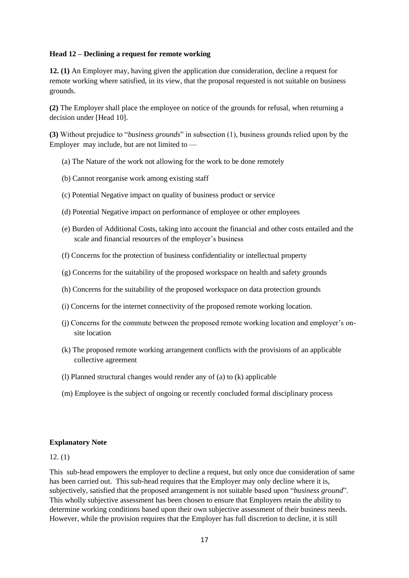#### **Head 12 – Declining a request for remote working**

**12. (1)** An Employer may, having given the application due consideration, decline a request for remote working where satisfied, in its view, that the proposal requested is not suitable on business grounds.

**(2)** The Employer shall place the employee on notice of the grounds for refusal, when returning a decision under [Head 10].

**(3)** Without prejudice to "*business grounds*" in subsection (1), business grounds relied upon by the Employer may include, but are not limited to —

- (a) The Nature of the work not allowing for the work to be done remotely
- (b) Cannot reorganise work among existing staff
- (c) Potential Negative impact on quality of business product or service
- (d) Potential Negative impact on performance of employee or other employees
- (e) Burden of Additional Costs, taking into account the financial and other costs entailed and the scale and financial resources of the employer's business
- (f) Concerns for the protection of business confidentiality or intellectual property
- (g) Concerns for the suitability of the proposed workspace on health and safety grounds
- (h) Concerns for the suitability of the proposed workspace on data protection grounds
- (i) Concerns for the internet connectivity of the proposed remote working location.
- (j) Concerns for the commute between the proposed remote working location and employer's onsite location
- (k) The proposed remote working arrangement conflicts with the provisions of an applicable collective agreement
- (l) Planned structural changes would render any of (a) to (k) applicable
- (m) Employee is the subject of ongoing or recently concluded formal disciplinary process

#### **Explanatory Note**

#### 12. (1)

This sub-head empowers the employer to decline a request, but only once due consideration of same has been carried out. This sub-head requires that the Employer may only decline where it is, subjectively, satisfied that the proposed arrangement is not suitable based upon "*business ground*". This wholly subjective assessment has been chosen to ensure that Employers retain the ability to determine working conditions based upon their own subjective assessment of their business needs. However, while the provision requires that the Employer has full discretion to decline, it is still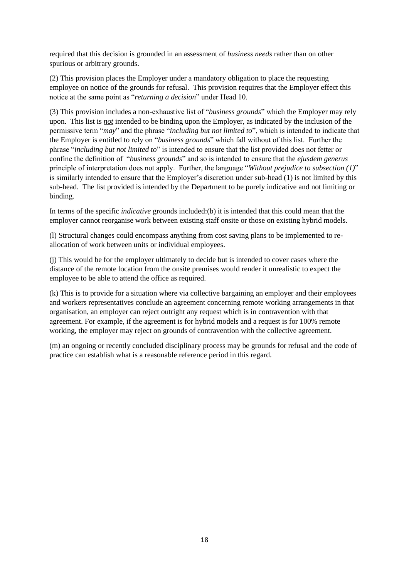required that this decision is grounded in an assessment of *business needs* rather than on other spurious or arbitrary grounds.

(2) This provision places the Employer under a mandatory obligation to place the requesting employee on notice of the grounds for refusal. This provision requires that the Employer effect this notice at the same point as "*returning a decision*" under Head 10.

(3) This provision includes a non-exhaustive list of "*business grounds*" which the Employer may rely upon. This list is *not* intended to be binding upon the Employer, as indicated by the inclusion of the permissive term "*may*" and the phrase "*including but not limited to*", which is intended to indicate that the Employer is entitled to rely on "*business grounds*" which fall without of this list. Further the phrase "*including but not limited to*" is intended to ensure that the list provided does not fetter or confine the definition of "*business grounds*" and so is intended to ensure that the *ejusdem generus*  principle of interpretation does not apply. Further, the language "*Without prejudice to subsection (1)*" is similarly intended to ensure that the Employer's discretion under sub-head (1) is not limited by this sub-head. The list provided is intended by the Department to be purely indicative and not limiting or binding.

In terms of the specific *indicative* grounds included:(b) it is intended that this could mean that the employer cannot reorganise work between existing staff onsite or those on existing hybrid models.

(l) Structural changes could encompass anything from cost saving plans to be implemented to reallocation of work between units or individual employees.

(j) This would be for the employer ultimately to decide but is intended to cover cases where the distance of the remote location from the onsite premises would render it unrealistic to expect the employee to be able to attend the office as required.

(k) This is to provide for a situation where via collective bargaining an employer and their employees and workers representatives conclude an agreement concerning remote working arrangements in that organisation, an employer can reject outright any request which is in contravention with that agreement. For example, if the agreement is for hybrid models and a request is for 100% remote working, the employer may reject on grounds of contravention with the collective agreement.

(m) an ongoing or recently concluded disciplinary process may be grounds for refusal and the code of practice can establish what is a reasonable reference period in this regard.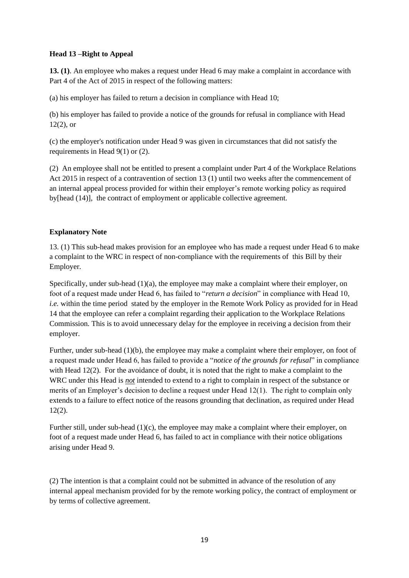# **Head 13 –Right to Appeal**

**13. (1)**. An employee who makes a request under Head 6 may make a complaint in accordance with Part 4 of the Act of 2015 in respect of the following matters:

(a) his employer has failed to return a decision in compliance with Head 10;

(b) his employer has failed to provide a notice of the grounds for refusal in compliance with Head  $12(2)$ , or

(c) the employer's notification under Head 9 was given in circumstances that did not satisfy the requirements in Head 9(1) or (2).

(2) An employee shall not be entitled to present a complaint under Part 4 of the Workplace Relations Act 2015 in respect of a contravention of section 13 (1) until two weeks after the commencement of an internal appeal process provided for within their employer's remote working policy as required by[head (14)], the contract of employment or applicable collective agreement.

# **Explanatory Note**

13. (1) This sub-head makes provision for an employee who has made a request under Head 6 to make a complaint to the WRC in respect of non-compliance with the requirements of this Bill by their Employer.

Specifically, under sub-head  $(1)(a)$ , the employee may make a complaint where their employer, on foot of a request made under Head 6, has failed to "*return a decision*" in compliance with Head 10, *i.e.* within the time period stated by the employer in the Remote Work Policy as provided for in Head 14 that the employee can refer a complaint regarding their application to the Workplace Relations Commission. This is to avoid unnecessary delay for the employee in receiving a decision from their employer.

Further, under sub-head (1)(b), the employee may make a complaint where their employer, on foot of a request made under Head 6, has failed to provide a "*notice of the grounds for refusal*" in compliance with Head 12(2). For the avoidance of doubt, it is noted that the right to make a complaint to the WRC under this Head is *not* intended to extend to a right to complain in respect of the substance or merits of an Employer's decision to decline a request under Head 12(1). The right to complain only extends to a failure to effect notice of the reasons grounding that declination, as required under Head 12(2).

Further still, under sub-head (1)(c), the employee may make a complaint where their employer, on foot of a request made under Head 6, has failed to act in compliance with their notice obligations arising under Head 9.

(2) The intention is that a complaint could not be submitted in advance of the resolution of any internal appeal mechanism provided for by the remote working policy, the contract of employment or by terms of collective agreement.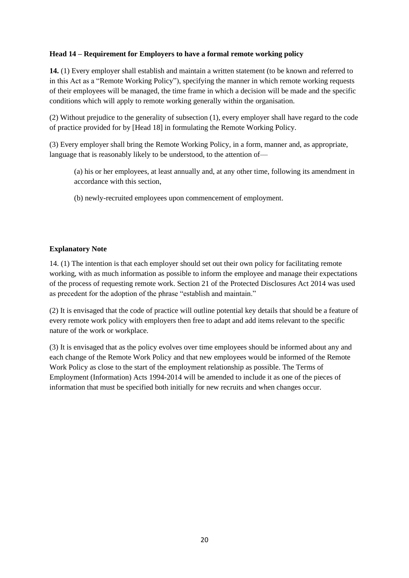# **Head 14 – Requirement for Employers to have a formal remote working policy**

**14.** (1) Every employer shall establish and maintain a written statement (to be known and referred to in this Act as a "Remote Working Policy"), specifying the manner in which remote working requests of their employees will be managed, the time frame in which a decision will be made and the specific conditions which will apply to remote working generally within the organisation.

(2) Without prejudice to the generality of subsection (1), every employer shall have regard to the code of practice provided for by [Head 18] in formulating the Remote Working Policy.

(3) Every employer shall bring the Remote Working Policy, in a form, manner and, as appropriate, language that is reasonably likely to be understood, to the attention of—

(a) his or her employees, at least annually and, at any other time, following its amendment in accordance with this section,

(b) newly-recruited employees upon commencement of employment.

#### **Explanatory Note**

14. (1) The intention is that each employer should set out their own policy for facilitating remote working, with as much information as possible to inform the employee and manage their expectations of the process of requesting remote work. Section 21 of the Protected Disclosures Act 2014 was used as precedent for the adoption of the phrase "establish and maintain."

(2) It is envisaged that the code of practice will outline potential key details that should be a feature of every remote work policy with employers then free to adapt and add items relevant to the specific nature of the work or workplace.

(3) It is envisaged that as the policy evolves over time employees should be informed about any and each change of the Remote Work Policy and that new employees would be informed of the Remote Work Policy as close to the start of the employment relationship as possible. The Terms of Employment (Information) Acts 1994-2014 will be amended to include it as one of the pieces of information that must be specified both initially for new recruits and when changes occur.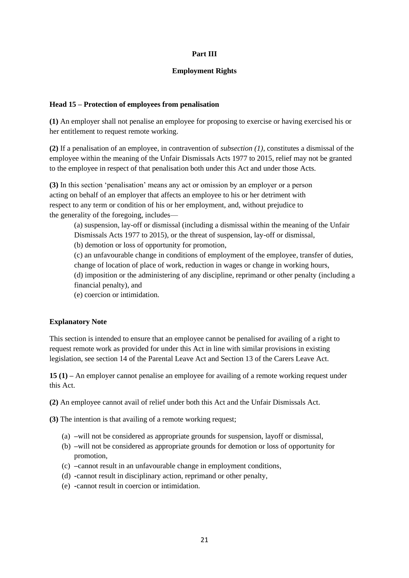### **Part III**

### **Employment Rights**

# **Head 15 – Protection of employees from penalisation**

**(1)** An employer shall not penalise an employee for proposing to exercise or having exercised his or her entitlement to request remote working.

**(2)** If a penalisation of an employee, in contravention of *subsection (1)*, constitutes a dismissal of the employee within the meaning of the Unfair Dismissals Acts 1977 to 2015, relief may not be granted to the employee in respect of that penalisation both under this Act and under those Acts.

**(3)** In this section 'penalisation' means any act or omission by an employer or a person acting on behalf of an employer that affects an employee to his or her detriment with respect to any term or condition of his or her employment, and, without prejudice to the generality of the foregoing, includes—

(a) suspension, lay-off or dismissal (including a dismissal within the meaning of the Unfair Dismissals Acts 1977 to 2015), or the threat of suspension, lay-off or dismissal,

(b) demotion or loss of opportunity for promotion,

(c) an unfavourable change in conditions of employment of the employee, transfer of duties, change of location of place of work, reduction in wages or change in working hours,

(d) imposition or the administering of any discipline, reprimand or other penalty (including a financial penalty), and

(e) coercion or intimidation.

# **Explanatory Note**

This section is intended to ensure that an employee cannot be penalised for availing of a right to request remote work as provided for under this Act in line with similar provisions in existing legislation, see section 14 of the Parental Leave Act and Section 13 of the Carers Leave Act.

**15 (1) –** An employer cannot penalise an employee for availing of a remote working request under this Act.

**(2)** An employee cannot avail of relief under both this Act and the Unfair Dismissals Act.

**(3)** The intention is that availing of a remote working request;

- (a) **–**will not be considered as appropriate grounds for suspension, layoff or dismissal,
- (b) **–**will not be considered as appropriate grounds for demotion or loss of opportunity for promotion,
- (c) **–**cannot result in an unfavourable change in employment conditions,
- (d) **-**cannot result in disciplinary action, reprimand or other penalty,
- (e) **-**cannot result in coercion or intimidation.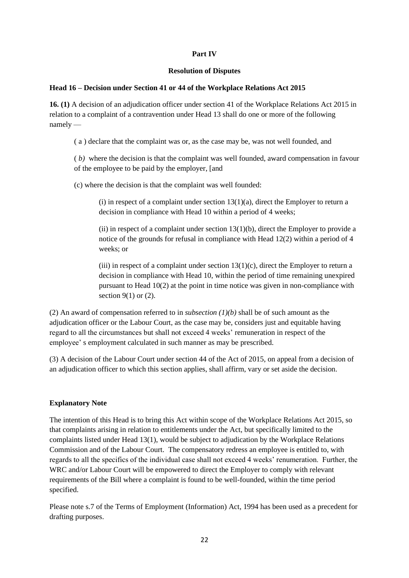# **Part IV**

#### **Resolution of Disputes**

### **Head 16 – Decision under Section 41 or 44 of the Workplace Relations Act 2015**

**16. (1)** A decision of an adjudication officer under section 41 of the Workplace Relations Act 2015 in relation to a complaint of a contravention under Head 13 shall do one or more of the following namely —

( a ) declare that the complaint was or, as the case may be, was not well founded, and

( *b)* where the decision is that the complaint was well founded, award compensation in favour of the employee to be paid by the employer, [and

(c) where the decision is that the complaint was well founded:

 $(i)$  in respect of a complaint under section  $13(1)(a)$ , direct the Employer to return a decision in compliance with Head 10 within a period of 4 weeks;

 $(iii)$  in respect of a complaint under section 13(1)(b), direct the Employer to provide a notice of the grounds for refusal in compliance with Head 12(2) within a period of 4 weeks; or

(iii) in respect of a complaint under section  $13(1)(c)$ , direct the Employer to return a decision in compliance with Head 10, within the period of time remaining unexpired pursuant to Head 10(2) at the point in time notice was given in non-compliance with section  $9(1)$  or  $(2)$ .

(2) An award of compensation referred to in *subsection (1)(b)* shall be of such amount as the adjudication officer or the Labour Court, as the case may be, considers just and equitable having regard to all the circumstances but shall not exceed 4 weeks' remuneration in respect of the employee' s employment calculated in such manner as may be prescribed.

(3) A decision of the Labour Court under section 44 of the Act of 2015, on appeal from a decision of an adjudication officer to which this section applies, shall affirm, vary or set aside the decision.

# **Explanatory Note**

The intention of this Head is to bring this Act within scope of the Workplace Relations Act 2015, so that complaints arising in relation to entitlements under the Act, but specifically limited to the complaints listed under Head 13(1), would be subject to adjudication by the Workplace Relations Commission and of the Labour Court. The compensatory redress an employee is entitled to, with regards to all the specifics of the individual case shall not exceed 4 weeks' renumeration. Further, the WRC and/or Labour Court will be empowered to direct the Employer to comply with relevant requirements of the Bill where a complaint is found to be well-founded, within the time period specified.

Please note s.7 of the Terms of Employment (Information) Act, 1994 has been used as a precedent for drafting purposes.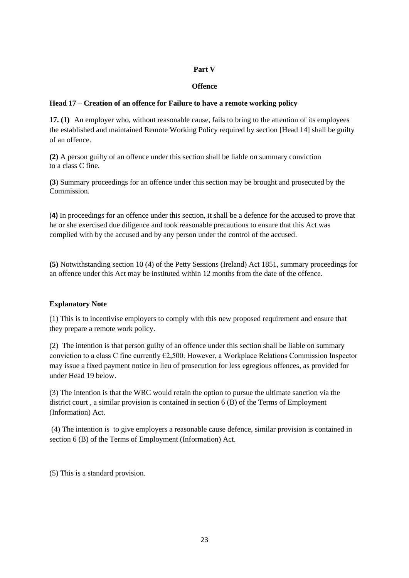# **Part V**

# **Offence**

# **Head 17 – Creation of an offence for Failure to have a remote working policy**

**17. (1)** An employer who, without reasonable cause, fails to bring to the attention of its employees the established and maintained Remote Working Policy required by section [Head 14] shall be guilty of an offence.

**(2)** A person guilty of an offence under this section shall be liable on summary conviction to a class C fine.

**(3**) Summary proceedings for an offence under this section may be brought and prosecuted by the Commission.

(**4)** In proceedings for an offence under this section, it shall be a defence for the accused to prove that he or she exercised due diligence and took reasonable precautions to ensure that this Act was complied with by the accused and by any person under the control of the accused.

**(5)** Notwithstanding section 10 (4) of the Petty Sessions (Ireland) Act 1851, summary proceedings for an offence under this Act may be instituted within 12 months from the date of the offence.

#### **Explanatory Note**

(1) This is to incentivise employers to comply with this new proposed requirement and ensure that they prepare a remote work policy.

(2) The intention is that person guilty of an offence under this section shall be liable on summary conviction to a class C fine currently  $\epsilon$ 2,500. However, a Workplace Relations Commission Inspector may issue a fixed payment notice in lieu of prosecution for less egregious offences, as provided for under Head 19 below.

(3) The intention is that the WRC would retain the option to pursue the ultimate sanction via the district court , a similar provision is contained in section 6 (B) of the Terms of Employment (Information) Act.

(4) The intention is to give employers a reasonable cause defence, similar provision is contained in section 6 (B) of the Terms of Employment (Information) Act.

(5) This is a standard provision.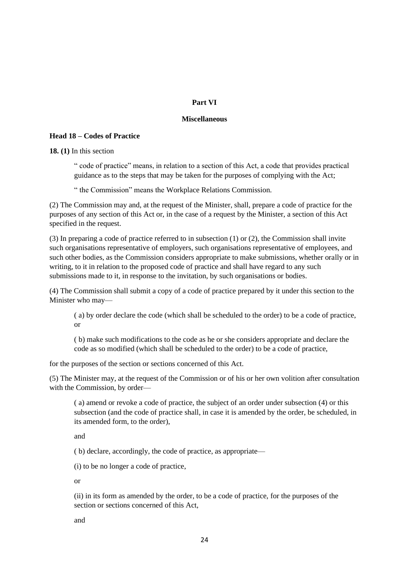### **Part VI**

#### **Miscellaneous**

#### **Head 18 – Codes of Practice**

**18. (1)** In this section

" code of practice" means, in relation to a section of this Act, a code that provides practical guidance as to the steps that may be taken for the purposes of complying with the Act;

" the Commission" means the Workplace Relations Commission.

(2) The Commission may and, at the request of the Minister, shall, prepare a code of practice for the purposes of any section of this Act or, in the case of a request by the Minister, a section of this Act specified in the request.

(3) In preparing a code of practice referred to in subsection (1) or (2), the Commission shall invite such organisations representative of employers, such organisations representative of employees, and such other bodies, as the Commission considers appropriate to make submissions, whether orally or in writing, to it in relation to the proposed code of practice and shall have regard to any such submissions made to it, in response to the invitation, by such organisations or bodies.

(4) The Commission shall submit a copy of a code of practice prepared by it under this section to the Minister who may—

( a) by order declare the code (which shall be scheduled to the order) to be a code of practice, or

( b) make such modifications to the code as he or she considers appropriate and declare the code as so modified (which shall be scheduled to the order) to be a code of practice,

for the purposes of the section or sections concerned of this Act.

(5) The Minister may, at the request of the Commission or of his or her own volition after consultation with the Commission, by order—

( a) amend or revoke a code of practice, the subject of an order under subsection (4) or this subsection (and the code of practice shall, in case it is amended by the order, be scheduled, in its amended form, to the order),

and

( b) declare, accordingly, the code of practice, as appropriate—

(i) to be no longer a code of practice,

or

(ii) in its form as amended by the order, to be a code of practice, for the purposes of the section or sections concerned of this Act,

and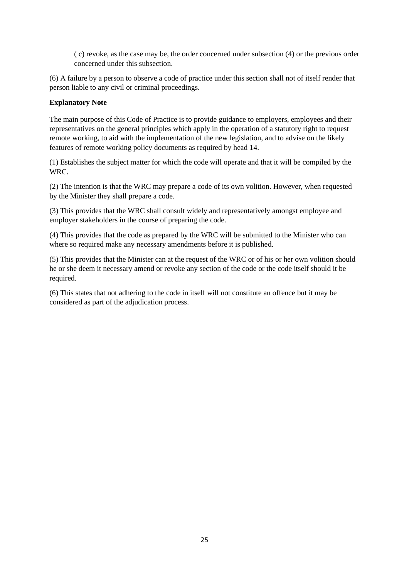( c) revoke, as the case may be, the order concerned under subsection (4) or the previous order concerned under this subsection.

(6) A failure by a person to observe a code of practice under this section shall not of itself render that person liable to any civil or criminal proceedings.

### **Explanatory Note**

The main purpose of this Code of Practice is to provide guidance to employers, employees and their representatives on the general principles which apply in the operation of a statutory right to request remote working, to aid with the implementation of the new legislation, and to advise on the likely features of remote working policy documents as required by head 14.

(1) Establishes the subject matter for which the code will operate and that it will be compiled by the WRC.

(2) The intention is that the WRC may prepare a code of its own volition. However, when requested by the Minister they shall prepare a code.

(3) This provides that the WRC shall consult widely and representatively amongst employee and employer stakeholders in the course of preparing the code.

(4) This provides that the code as prepared by the WRC will be submitted to the Minister who can where so required make any necessary amendments before it is published.

(5) This provides that the Minister can at the request of the WRC or of his or her own volition should he or she deem it necessary amend or revoke any section of the code or the code itself should it be required.

(6) This states that not adhering to the code in itself will not constitute an offence but it may be considered as part of the adjudication process.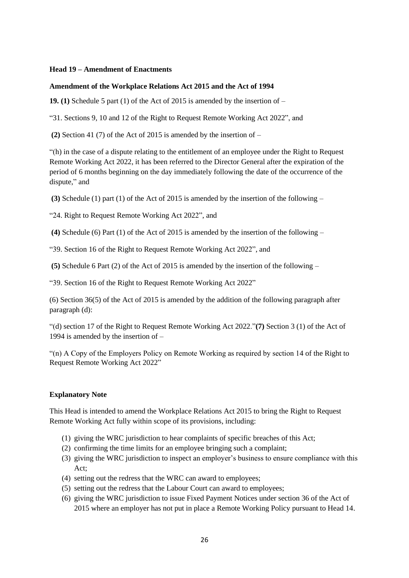#### **Head 19 – Amendment of Enactments**

#### **Amendment of the Workplace Relations Act 2015 and the Act of 1994**

**19. (1)** Schedule 5 part (1) of the Act of 2015 is amended by the insertion of –

"31. Sections 9, 10 and 12 of the Right to Request Remote Working Act 2022", and

**(2)** Section 41 (7) of the Act of 2015 is amended by the insertion of –

"(h) in the case of a dispute relating to the entitlement of an employee under the Right to Request Remote Working Act 2022, it has been referred to the Director General after the expiration of the period of 6 months beginning on the day immediately following the date of the occurrence of the dispute," and

**(3)** Schedule (1) part (1) of the Act of 2015 is amended by the insertion of the following –

"24. Right to Request Remote Working Act 2022", and

**(4)** Schedule (6) Part (1) of the Act of 2015 is amended by the insertion of the following –

"39. Section 16 of the Right to Request Remote Working Act 2022", and

**(5)** Schedule 6 Part (2) of the Act of 2015 is amended by the insertion of the following –

"39. Section 16 of the Right to Request Remote Working Act 2022"

(6) Section 36(5) of the Act of 2015 is amended by the addition of the following paragraph after paragraph (d):

"(d) section 17 of the Right to Request Remote Working Act 2022."**(7)** Section 3 (1) of the Act of 1994 is amended by the insertion of –

"(n) A Copy of the Employers Policy on Remote Working as required by section 14 of the Right to Request Remote Working Act 2022"

#### **Explanatory Note**

This Head is intended to amend the Workplace Relations Act 2015 to bring the Right to Request Remote Working Act fully within scope of its provisions, including:

- (1) giving the WRC jurisdiction to hear complaints of specific breaches of this Act;
- (2) confirming the time limits for an employee bringing such a complaint;
- (3) giving the WRC jurisdiction to inspect an employer's business to ensure compliance with this Act;
- (4) setting out the redress that the WRC can award to employees;
- (5) setting out the redress that the Labour Court can award to employees;
- (6) giving the WRC jurisdiction to issue Fixed Payment Notices under section 36 of the Act of 2015 where an employer has not put in place a Remote Working Policy pursuant to Head 14.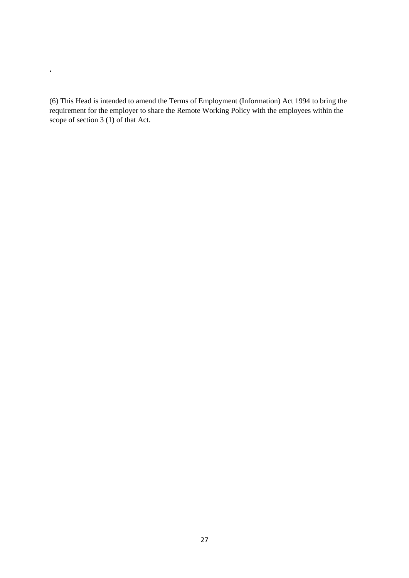(6) This Head is intended to amend the Terms of Employment (Information) Act 1994 to bring the requirement for the employer to share the Remote Working Policy with the employees within the scope of section  $3(1)$  of that Act.

**.**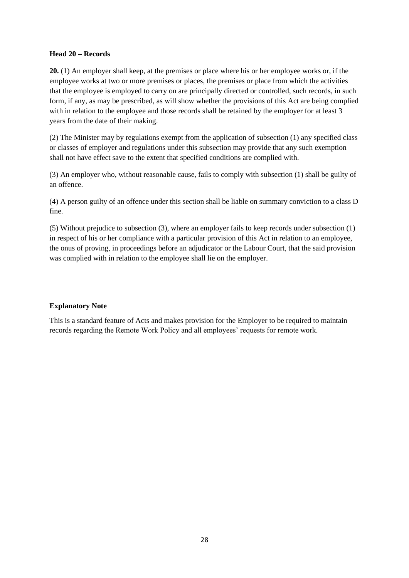#### **Head 20 – Records**

**20.** (1) An employer shall keep, at the premises or place where his or her employee works or, if the employee works at two or more premises or places, the premises or place from which the activities that the employee is employed to carry on are principally directed or controlled, such records, in such form, if any, as may be prescribed, as will show whether the provisions of this Act are being complied with in relation to the employee and those records shall be retained by the employer for at least 3 years from the date of their making.

(2) The Minister may by regulations exempt from the application of subsection (1) any specified class or classes of employer and regulations under this subsection may provide that any such exemption shall not have effect save to the extent that specified conditions are complied with.

(3) An employer who, without reasonable cause, fails to comply with subsection (1) shall be guilty of an offence.

(4) A person guilty of an offence under this section shall be liable on summary conviction to a class D fine.

(5) Without prejudice to subsection (3), where an employer fails to keep records under subsection (1) in respect of his or her compliance with a particular provision of this Act in relation to an employee, the onus of proving, in proceedings before an adjudicator or the Labour Court, that the said provision was complied with in relation to the employee shall lie on the employer.

#### **Explanatory Note**

This is a standard feature of Acts and makes provision for the Employer to be required to maintain records regarding the Remote Work Policy and all employees' requests for remote work.